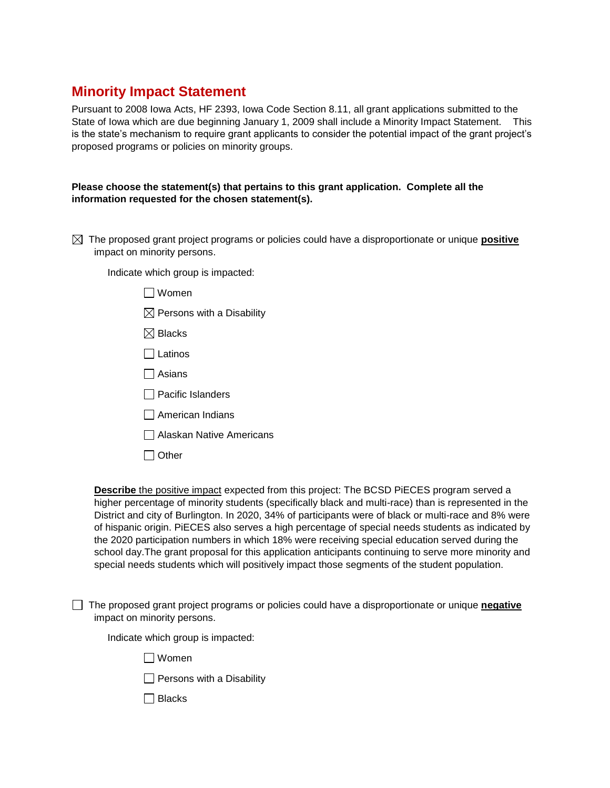## **Minority Impact Statement**

Pursuant to 2008 Iowa Acts, HF 2393, Iowa Code Section 8.11, all grant applications submitted to the State of Iowa which are due beginning January 1, 2009 shall include a Minority Impact Statement. This is the state's mechanism to require grant applicants to consider the potential impact of the grant project's proposed programs or policies on minority groups.

## **Please choose the statement(s) that pertains to this grant application. Complete all the information requested for the chosen statement(s).**

 The proposed grant project programs or policies could have a disproportionate or unique **positive**  impact on minority persons.

Indicate which group is impacted:

- Women
- $\boxtimes$  Persons with a Disability
- $\boxtimes$  Blacks
- $\Box$  Latinos
- Asians
- $\Box$  Pacific Islanders
- $\Box$  American Indians
- Alaskan Native Americans
- $\Box$  Other

**Describe** the positive impact expected from this project: The BCSD PiECES program served a higher percentage of minority students (specifically black and multi-race) than is represented in the District and city of Burlington. In 2020, 34% of participants were of black or multi-race and 8% were of hispanic origin. PiECES also serves a high percentage of special needs students as indicated by the 2020 participation numbers in which 18% were receiving special education served during the school day.The grant proposal for this application anticipants continuing to serve more minority and special needs students which will positively impact those segments of the student population.

 The proposed grant project programs or policies could have a disproportionate or unique **negative** impact on minority persons.

Indicate which group is impacted:

- Women
- $\Box$  Persons with a Disability
- $\Box$  Blacks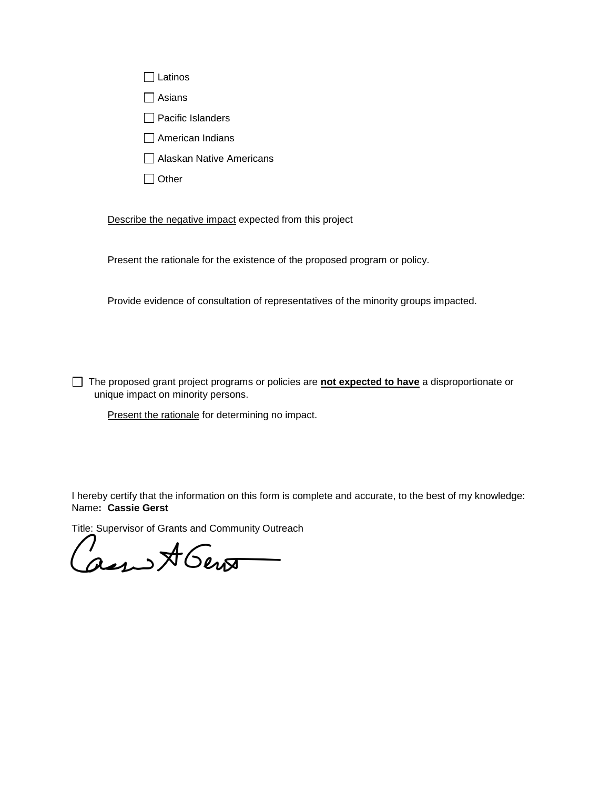| Latinos                  |
|--------------------------|
| Asians                   |
| $\Box$ Pacific Islanders |
| $\Box$ American Indians  |

- Alaskan Native Americans
- $\Box$  Other

Describe the negative impact expected from this project

Present the rationale for the existence of the proposed program or policy.

Provide evidence of consultation of representatives of the minority groups impacted.

 The proposed grant project programs or policies are **not expected to have** a disproportionate or unique impact on minority persons.

Present the rationale for determining no impact.

I hereby certify that the information on this form is complete and accurate, to the best of my knowledge: Name**: Cassie Gerst** 

Title: Supervisor of Grants and Community Outreach

an A Gent